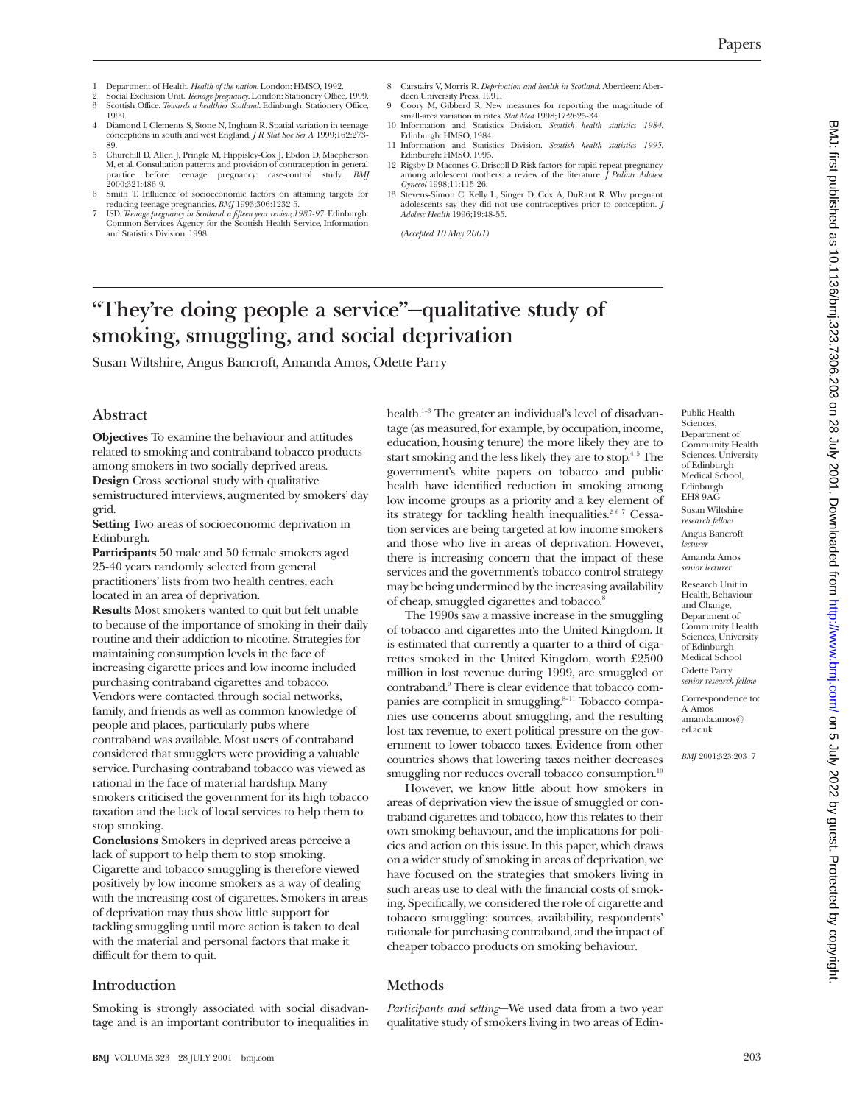- 1 Department of Health. *Health of the nation*. London: HMSO, 1992.
- 2 Social Exclusion Unit. *Teenage pregnancy*. London: Stationery Office, 1999. 3 Scottish Office. *Towards a healthier Scotland*. Edinburgh: Stationery Office,
- 1999.
- 4 Diamond I, Clements S, Stone N, Ingham R. Spatial variation in teenage conceptions in south and west England. *J R Stat Soc Ser A* 1999;162:273- 89.
- 5 Churchill D, Allen J, Pringle M, Hippisley-Cox J, Ebdon D, Macpherson M, et al. Consultation patterns and provision of contraception in general practice before teenage pregnancy: case-control study. *BMJ* 2000;321:486-9.
- 6 Smith T. Influence of socioeconomic factors on attaining targets for reducing teenage pregnancies. *BMJ* 1993;306:1232-5. 7 ISD. *Teenage pregnancy in Scotland: a fifteen year review, 1983-97*. Edinburgh:
- Common Services Agency for the Scottish Health Service, Information and Statistics Division, 1998.
- 8 Carstairs V, Morris R. *Deprivation and health in Scotland*. Aberdeen: Aber-
- deen University Press, 1991. 9 Coory M, Gibberd R. New measures for reporting the magnitude of
- small-area variation in rates. *Stat Med* 1998;17:2625-34. 10 Information and Statistics Division. *Scottish health statistics 1984*. Edinburgh: HMSO, 1984.
- 11 Information and Statistics Division. *Scottish health statistics 1995*. Edinburgh: HMSO, 1995.
- 12 Rigsby D, Macones G, Driscoll D. Risk factors for rapid repeat pregnancy among adolescent mothers: a review of the literature. *J Pediatr Adolesc Gynecol* 1998;11:115-26.
- 13 Stevens-Simon C, Kelly L, Singer D, Cox A, DuRant R. Why pregnant adolescents say they did not use contraceptives prior to conception. *J Adolesc Health* 1996;19:48-55.

*(Accepted 10 May 2001)*

# **"They're doing people a service"—qualitative study of smoking, smuggling, and social deprivation**

Susan Wiltshire, Angus Bancroft, Amanda Amos, Odette Parry

## **Abstract**

**Objectives** To examine the behaviour and attitudes related to smoking and contraband tobacco products among smokers in two socially deprived areas. **Design** Cross sectional study with qualitative semistructured interviews, augmented by smokers' day grid.

**Setting** Two areas of socioeconomic deprivation in Edinburgh.

**Participants** 50 male and 50 female smokers aged 25-40 years randomly selected from general practitioners' lists from two health centres, each located in an area of deprivation.

**Results** Most smokers wanted to quit but felt unable to because of the importance of smoking in their daily routine and their addiction to nicotine. Strategies for maintaining consumption levels in the face of increasing cigarette prices and low income included purchasing contraband cigarettes and tobacco. Vendors were contacted through social networks, family, and friends as well as common knowledge of people and places, particularly pubs where contraband was available. Most users of contraband considered that smugglers were providing a valuable service. Purchasing contraband tobacco was viewed as rational in the face of material hardship. Many smokers criticised the government for its high tobacco taxation and the lack of local services to help them to stop smoking.

**Conclusions** Smokers in deprived areas perceive a lack of support to help them to stop smoking. Cigarette and tobacco smuggling is therefore viewed positively by low income smokers as a way of dealing with the increasing cost of cigarettes. Smokers in areas of deprivation may thus show little support for tackling smuggling until more action is taken to deal with the material and personal factors that make it difficult for them to quit.

# **Introduction**

Smoking is strongly associated with social disadvantage and is an important contributor to inequalities in health.<sup>1-3</sup> The greater an individual's level of disadvantage (as measured, for example, by occupation, income, education, housing tenure) the more likely they are to start smoking and the less likely they are to stop.<sup>45</sup> The government's white papers on tobacco and public health have identified reduction in smoking among low income groups as a priority and a key element of its strategy for tackling health inequalities.<sup>267</sup> Cessation services are being targeted at low income smokers and those who live in areas of deprivation. However, there is increasing concern that the impact of these services and the government's tobacco control strategy may be being undermined by the increasing availability of cheap, smuggled cigarettes and tobacco.<sup>8</sup>

The 1990s saw a massive increase in the smuggling of tobacco and cigarettes into the United Kingdom. It is estimated that currently a quarter to a third of cigarettes smoked in the United Kingdom, worth £2500 million in lost revenue during 1999, are smuggled or contraband.9 There is clear evidence that tobacco companies are complicit in smuggling.<sup>8-11</sup> Tobacco companies use concerns about smuggling, and the resulting lost tax revenue, to exert political pressure on the government to lower tobacco taxes. Evidence from other countries shows that lowering taxes neither decreases smuggling nor reduces overall tobacco consumption.<sup>10</sup>

However, we know little about how smokers in areas of deprivation view the issue of smuggled or contraband cigarettes and tobacco, how this relates to their own smoking behaviour, and the implications for policies and action on this issue. In this paper, which draws on a wider study of smoking in areas of deprivation, we have focused on the strategies that smokers living in such areas use to deal with the financial costs of smoking. Specifically, we considered the role of cigarette and tobacco smuggling: sources, availability, respondents' rationale for purchasing contraband, and the impact of cheaper tobacco products on smoking behaviour.

# **Methods**

*Participants and setting*—We used data from a two year qualitative study of smokers living in two areas of Edin-

Public Health Sciences, Department of Community Health Sciences, University of Edinburgh Medical School, Edinburgh EH8 9AG Susan Wiltshire *research fellow* Angus Bancroft *lecturer* Amanda Amos

*senior lecturer* Research Unit in Health, Behaviour and Change, Department of Community Health Sciences, University of Edinburgh Medical School Odette Parry

*senior research fellow*

Correspondence to: A Amos amanda.amos@ ed.ac.uk

*BMJ* 2001;323:203–7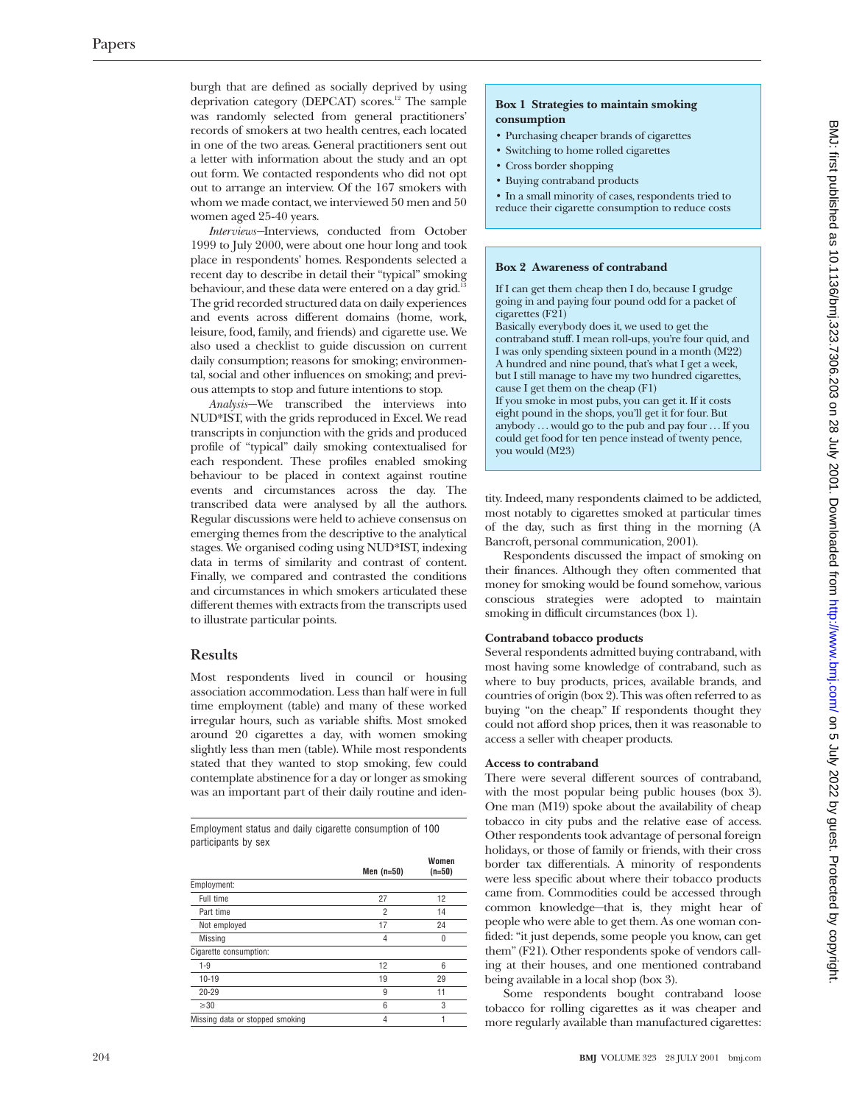burgh that are defined as socially deprived by using deprivation category (DEPCAT) scores.<sup>12</sup> The sample was randomly selected from general practitioners' records of smokers at two health centres, each located in one of the two areas. General practitioners sent out a letter with information about the study and an opt out form. We contacted respondents who did not opt out to arrange an interview. Of the 167 smokers with whom we made contact, we interviewed 50 men and 50 women aged 25-40 years.

*Interviews—*Interviews, conducted from October 1999 to July 2000, were about one hour long and took place in respondents' homes. Respondents selected a recent day to describe in detail their "typical" smoking behaviour, and these data were entered on a day grid.<sup>13</sup> The grid recorded structured data on daily experiences and events across different domains (home, work, leisure, food, family, and friends) and cigarette use. We also used a checklist to guide discussion on current daily consumption; reasons for smoking; environmental, social and other influences on smoking; and previous attempts to stop and future intentions to stop.

*Analysis*—We transcribed the interviews into NUD\*IST, with the grids reproduced in Excel. We read transcripts in conjunction with the grids and produced profile of "typical" daily smoking contextualised for each respondent. These profiles enabled smoking behaviour to be placed in context against routine events and circumstances across the day. The transcribed data were analysed by all the authors. Regular discussions were held to achieve consensus on emerging themes from the descriptive to the analytical stages. We organised coding using NUD\*IST, indexing data in terms of similarity and contrast of content. Finally, we compared and contrasted the conditions and circumstances in which smokers articulated these different themes with extracts from the transcripts used to illustrate particular points.

## **Results**

Most respondents lived in council or housing association accommodation. Less than half were in full time employment (table) and many of these worked irregular hours, such as variable shifts. Most smoked around 20 cigarettes a day, with women smoking slightly less than men (table). While most respondents stated that they wanted to stop smoking, few could contemplate abstinence for a day or longer as smoking was an important part of their daily routine and iden-

Employment status and daily cigarette consumption of 100 participants by sex

|                                 |                | Women    |  |
|---------------------------------|----------------|----------|--|
|                                 | Men $(n=50)$   | $(n=50)$ |  |
| Employment:                     |                |          |  |
| Full time                       | 27             | 12       |  |
| Part time                       | $\overline{c}$ | 14       |  |
| Not employed                    | 17             | 24       |  |
| Missing                         | 4              | 0        |  |
| Cigarette consumption:          |                |          |  |
| $1 - 9$                         | 12             | 6        |  |
| $10 - 19$                       | 19             | 29       |  |
| $20 - 29$                       | 9              | 11       |  |
| $\geqslant$ 30                  | 6              | 3        |  |
| Missing data or stopped smoking | 4              | 1        |  |

### **Box 1 Strategies to maintain smoking consumption**

- Purchasing cheaper brands of cigarettes
- Switching to home rolled cigarettes
- Cross border shopping
- Buying contraband products
- In a small minority of cases, respondents tried to reduce their cigarette consumption to reduce costs

### **Box 2 Awareness of contraband**

If I can get them cheap then I do, because I grudge going in and paying four pound odd for a packet of cigarettes (F21)

Basically everybody does it, we used to get the contraband stuff. I mean roll-ups, you're four quid, and I was only spending sixteen pound in a month (M22) A hundred and nine pound, that's what I get a week, but I still manage to have my two hundred cigarettes, cause I get them on the cheap (F1) If you smoke in most pubs, you can get it. If it costs

eight pound in the shops, you'll get it for four. But anybody . . . would go to the pub and pay four . . . If you could get food for ten pence instead of twenty pence, you would (M23)

tity. Indeed, many respondents claimed to be addicted, most notably to cigarettes smoked at particular times of the day, such as first thing in the morning (A Bancroft, personal communication, 2001).

Respondents discussed the impact of smoking on their finances. Although they often commented that money for smoking would be found somehow, various conscious strategies were adopted to maintain smoking in difficult circumstances (box 1).

## **Contraband tobacco products**

Several respondents admitted buying contraband, with most having some knowledge of contraband, such as where to buy products, prices, available brands, and countries of origin (box 2). This was often referred to as buying "on the cheap." If respondents thought they could not afford shop prices, then it was reasonable to access a seller with cheaper products.

## **Access to contraband**

There were several different sources of contraband, with the most popular being public houses (box 3). One man (M19) spoke about the availability of cheap tobacco in city pubs and the relative ease of access. Other respondents took advantage of personal foreign holidays, or those of family or friends, with their cross border tax differentials. A minority of respondents were less specific about where their tobacco products came from. Commodities could be accessed through common knowledge—that is, they might hear of people who were able to get them. As one woman confided: "it just depends, some people you know, can get them" (F21). Other respondents spoke of vendors calling at their houses, and one mentioned contraband being available in a local shop (box 3).

Some respondents bought contraband loose tobacco for rolling cigarettes as it was cheaper and more regularly available than manufactured cigarettes: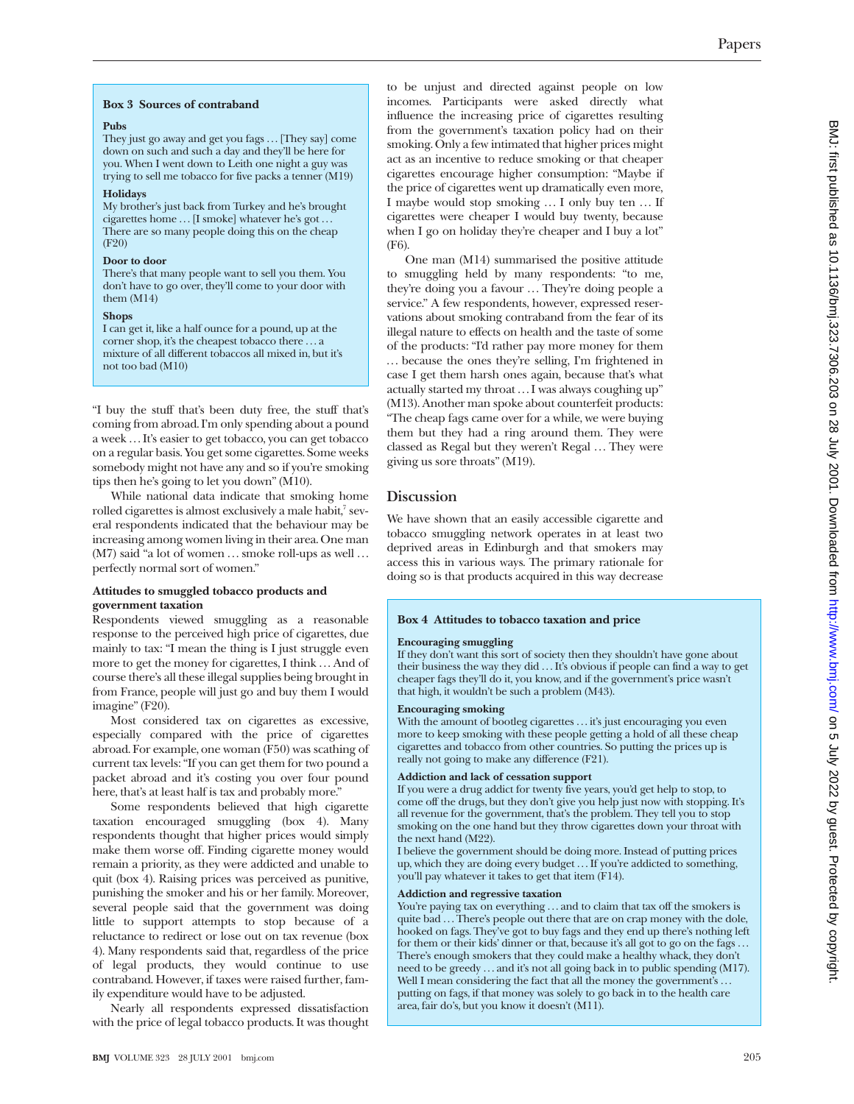#### **Pubs**

They just go away and get you fags ... [They say] come down on such and such a day and they'll be here for you. When I went down to Leith one night a guy was trying to sell me tobacco for five packs a tenner (M19)

#### **Holidays**

My brother's just back from Turkey and he's brought cigarettes home ... [I smoke] whatever he's got .. There are so many people doing this on the cheap (F20)

#### **Door to door**

There's that many people want to sell you them. You don't have to go over, they'll come to your door with them (M14)

#### **Shops**

I can get it, like a half ounce for a pound, up at the corner shop, it's the cheapest tobacco there . . . a mixture of all different tobaccos all mixed in, but it's not too bad (M10)

"I buy the stuff that's been duty free, the stuff that's coming from abroad. I'm only spending about a pound a week . . . It's easier to get tobacco, you can get tobacco on a regular basis. You get some cigarettes. Some weeks somebody might not have any and so if you're smoking tips then he's going to let you down" (M10).

While national data indicate that smoking home rolled cigarettes is almost exclusively a male habit,<sup>7</sup> several respondents indicated that the behaviour may be increasing among women living in their area. One man  $(M7)$  said "a lot of women ... smoke roll-ups as well ... perfectly normal sort of women."

#### **Attitudes to smuggled tobacco products and government taxation**

Respondents viewed smuggling as a reasonable response to the perceived high price of cigarettes, due mainly to tax: "I mean the thing is I just struggle even more to get the money for cigarettes, I think . . . And of course there's all these illegal supplies being brought in from France, people will just go and buy them I would imagine" (F20).

Most considered tax on cigarettes as excessive, especially compared with the price of cigarettes abroad. For example, one woman (F50) was scathing of current tax levels: "If you can get them for two pound a packet abroad and it's costing you over four pound here, that's at least half is tax and probably more."

Some respondents believed that high cigarette taxation encouraged smuggling (box 4). Many respondents thought that higher prices would simply make them worse off. Finding cigarette money would remain a priority, as they were addicted and unable to quit (box 4). Raising prices was perceived as punitive, punishing the smoker and his or her family. Moreover, several people said that the government was doing little to support attempts to stop because of a reluctance to redirect or lose out on tax revenue (box 4). Many respondents said that, regardless of the price of legal products, they would continue to use contraband. However, if taxes were raised further, family expenditure would have to be adjusted.

Nearly all respondents expressed dissatisfaction with the price of legal tobacco products. It was thought

to be unjust and directed against people on low incomes. Participants were asked directly what influence the increasing price of cigarettes resulting from the government's taxation policy had on their smoking. Only a few intimated that higher prices might act as an incentive to reduce smoking or that cheaper cigarettes encourage higher consumption: "Maybe if the price of cigarettes went up dramatically even more, I maybe would stop smoking ... I only buy ten ... If cigarettes were cheaper I would buy twenty, because when I go on holiday they're cheaper and I buy a lot" (F6).

One man (M14) summarised the positive attitude to smuggling held by many respondents: "to me, they're doing you a favour ... They're doing people a service." A few respondents, however, expressed reservations about smoking contraband from the fear of its illegal nature to effects on health and the taste of some of the products: "I'd rather pay more money for them . . . because the ones they're selling, I'm frightened in case I get them harsh ones again, because that's what actually started my throat . . . I was always coughing up" (M13). Another man spoke about counterfeit products: "The cheap fags came over for a while, we were buying them but they had a ring around them. They were classed as Regal but they weren't Regal ... They were giving us sore throats" (M19).

## **Discussion**

We have shown that an easily accessible cigarette and tobacco smuggling network operates in at least two deprived areas in Edinburgh and that smokers may access this in various ways. The primary rationale for doing so is that products acquired in this way decrease

#### **Box 4 Attitudes to tobacco taxation and price**

#### **Encouraging smuggling**

If they don't want this sort of society then they shouldn't have gone about their business the way they did . . . It's obvious if people can find a way to get cheaper fags they'll do it, you know, and if the government's price wasn't that high, it wouldn't be such a problem (M43).

#### **Encouraging smoking**

With the amount of bootleg cigarettes ... it's just encouraging you even more to keep smoking with these people getting a hold of all these cheap cigarettes and tobacco from other countries. So putting the prices up is really not going to make any difference (F21).

#### **Addiction and lack of cessation support**

If you were a drug addict for twenty five years, you'd get help to stop, to come off the drugs, but they don't give you help just now with stopping. It's all revenue for the government, that's the problem. They tell you to stop smoking on the one hand but they throw cigarettes down your throat with the next hand (M22).

I believe the government should be doing more. Instead of putting prices up, which they are doing every budget . . . If you're addicted to something, you'll pay whatever it takes to get that item (F14).

#### **Addiction and regressive taxation**

You're paying tax on everything ... and to claim that tax off the smokers is quite bad ... There's people out there that are on crap money with the dole, hooked on fags. They've got to buy fags and they end up there's nothing left for them or their kids' dinner or that, because it's all got to go on the fags . . . There's enough smokers that they could make a healthy whack, they don't need to be greedy . . . and it's not all going back in to public spending (M17). Well I mean considering the fact that all the money the government's ... putting on fags, if that money was solely to go back in to the health care area, fair do's, but you know it doesn't (M11).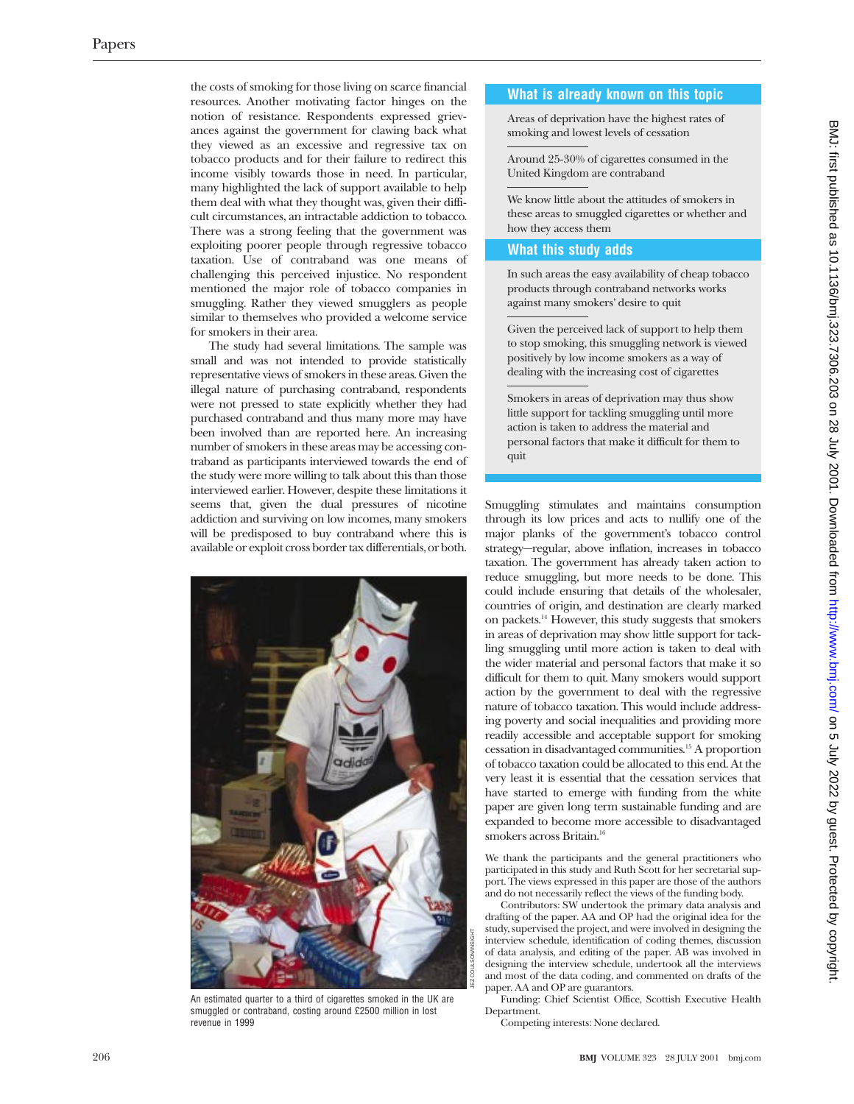the costs of smoking for those living on scarce financial resources. Another motivating factor hinges on the notion of resistance. Respondents expressed grievances against the government for clawing back what they viewed as an excessive and regressive tax on tobacco products and for their failure to redirect this income visibly towards those in need. In particular, many highlighted the lack of support available to help them deal with what they thought was, given their difficult circumstances, an intractable addiction to tobacco. There was a strong feeling that the government was exploiting poorer people through regressive tobacco taxation. Use of contraband was one means of challenging this perceived injustice. No respondent mentioned the major role of tobacco companies in smuggling. Rather they viewed smugglers as people similar to themselves who provided a welcome service for smokers in their area.

The study had several limitations. The sample was small and was not intended to provide statistically representative views of smokers in these areas. Given the illegal nature of purchasing contraband, respondents were not pressed to state explicitly whether they had purchased contraband and thus many more may have been involved than are reported here. An increasing number of smokers in these areas may be accessing contraband as participants interviewed towards the end of the study were more willing to talk about this than those interviewed earlier. However, despite these limitations it seems that, given the dual pressures of nicotine addiction and surviving on low incomes, many smokers will be predisposed to buy contraband where this is available or exploit cross border tax differentials, or both.



An estimated quarter to a third of cigarettes smoked in the UK are smuggled or contraband, costing around £2500 million in lost revenue in 1999

## **What is already known on this topic**

Areas of deprivation have the highest rates of smoking and lowest levels of cessation

Around 25-30% of cigarettes consumed in the United Kingdom are contraband

We know little about the attitudes of smokers in these areas to smuggled cigarettes or whether and how they access them

## **What this study adds**

In such areas the easy availability of cheap tobacco products through contraband networks works against many smokers' desire to quit

Given the perceived lack of support to help them to stop smoking, this smuggling network is viewed positively by low income smokers as a way of dealing with the increasing cost of cigarettes

Smokers in areas of deprivation may thus show little support for tackling smuggling until more action is taken to address the material and personal factors that make it difficult for them to quit

Smuggling stimulates and maintains consumption through its low prices and acts to nullify one of the major planks of the government's tobacco control strategy—regular, above inflation, increases in tobacco taxation. The government has already taken action to reduce smuggling, but more needs to be done. This could include ensuring that details of the wholesaler, countries of origin, and destination are clearly marked on packets.14 However, this study suggests that smokers in areas of deprivation may show little support for tackling smuggling until more action is taken to deal with the wider material and personal factors that make it so difficult for them to quit. Many smokers would support action by the government to deal with the regressive nature of tobacco taxation. This would include addressing poverty and social inequalities and providing more readily accessible and acceptable support for smoking cessation in disadvantaged communities.15 A proportion of tobacco taxation could be allocated to this end. At the very least it is essential that the cessation services that have started to emerge with funding from the white paper are given long term sustainable funding and are expanded to become more accessible to disadvantaged smokers across Britain.<sup>16</sup>

We thank the participants and the general practitioners who participated in this study and Ruth Scott for her secretarial support. The views expressed in this paper are those of the authors and do not necessarily reflect the views of the funding body.

Contributors: SW undertook the primary data analysis and drafting of the paper. AA and OP had the original idea for the study, supervised the project, and were involved in designing the interview schedule, identification of coding themes, discussion of data analysis, and editing of the paper. AB was involved in designing the interview schedule, undertook all the interviews and most of the data coding, and commented on drafts of the paper. AA and OP are guarantors.

Funding: Chief Scientist Office, Scottish Executive Health Department.

Competing interests: None declared.